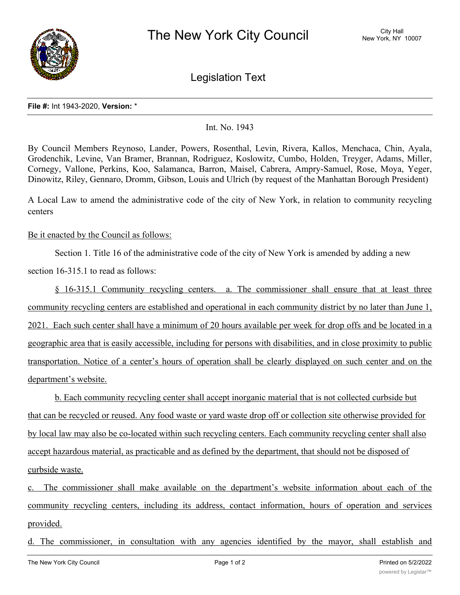

Legislation Text

## **File #:** Int 1943-2020, **Version:** \*

## Int. No. 1943

By Council Members Reynoso, Lander, Powers, Rosenthal, Levin, Rivera, Kallos, Menchaca, Chin, Ayala, Grodenchik, Levine, Van Bramer, Brannan, Rodriguez, Koslowitz, Cumbo, Holden, Treyger, Adams, Miller, Cornegy, Vallone, Perkins, Koo, Salamanca, Barron, Maisel, Cabrera, Ampry-Samuel, Rose, Moya, Yeger, Dinowitz, Riley, Gennaro, Dromm, Gibson, Louis and Ulrich (by request of the Manhattan Borough President)

A Local Law to amend the administrative code of the city of New York, in relation to community recycling centers

## Be it enacted by the Council as follows:

Section 1. Title 16 of the administrative code of the city of New York is amended by adding a new section 16-315.1 to read as follows:

§ 16-315.1 Community recycling centers. a. The commissioner shall ensure that at least three community recycling centers are established and operational in each community district by no later than June 1, 2021. Each such center shall have a minimum of 20 hours available per week for drop offs and be located in a geographic area that is easily accessible, including for persons with disabilities, and in close proximity to public transportation. Notice of a center's hours of operation shall be clearly displayed on such center and on the department's website.

b. Each community recycling center shall accept inorganic material that is not collected curbside but that can be recycled or reused. Any food waste or yard waste drop off or collection site otherwise provided for by local law may also be co-located within such recycling centers. Each community recycling center shall also accept hazardous material, as practicable and as defined by the department, that should not be disposed of curbside waste.

c. The commissioner shall make available on the department's website information about each of the community recycling centers, including its address, contact information, hours of operation and services provided.

d. The commissioner, in consultation with any agencies identified by the mayor, shall establish and